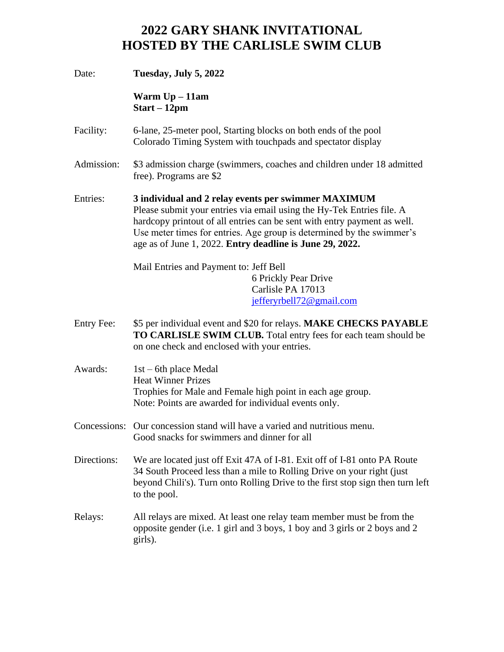## **2022 GARY SHANK INVITATIONAL HOSTED BY THE CARLISLE SWIM CLUB**

| Date:                                                                                                                                                                                                                                                                                                                                                     | Tuesday, July 5, 2022                                                                                                                                                                                                                                |  |  |
|-----------------------------------------------------------------------------------------------------------------------------------------------------------------------------------------------------------------------------------------------------------------------------------------------------------------------------------------------------------|------------------------------------------------------------------------------------------------------------------------------------------------------------------------------------------------------------------------------------------------------|--|--|
|                                                                                                                                                                                                                                                                                                                                                           | Warm $Up-11am$<br>$Start - 12pm$                                                                                                                                                                                                                     |  |  |
| Facility:                                                                                                                                                                                                                                                                                                                                                 | 6-lane, 25-meter pool, Starting blocks on both ends of the pool<br>Colorado Timing System with touchpads and spectator display                                                                                                                       |  |  |
| Admission:                                                                                                                                                                                                                                                                                                                                                | \$3 admission charge (swimmers, coaches and children under 18 admitted<br>free). Programs are \$2                                                                                                                                                    |  |  |
| Entries:<br>3 individual and 2 relay events per swimmer MAXIMUM<br>Please submit your entries via email using the Hy-Tek Entries file. A<br>hardcopy printout of all entries can be sent with entry payment as well.<br>Use meter times for entries. Age group is determined by the swimmer's<br>age as of June 1, 2022. Entry deadline is June 29, 2022. |                                                                                                                                                                                                                                                      |  |  |
|                                                                                                                                                                                                                                                                                                                                                           | Mail Entries and Payment to: Jeff Bell<br>6 Prickly Pear Drive<br>Carlisle PA 17013<br>jefferyrbell72@gmail.com                                                                                                                                      |  |  |
| <b>Entry Fee:</b>                                                                                                                                                                                                                                                                                                                                         | \$5 per individual event and \$20 for relays. MAKE CHECKS PAYABLE<br>TO CARLISLE SWIM CLUB. Total entry fees for each team should be<br>on one check and enclosed with your entries.                                                                 |  |  |
| Awards:                                                                                                                                                                                                                                                                                                                                                   | $1st - 6th$ place Medal<br><b>Heat Winner Prizes</b><br>Trophies for Male and Female high point in each age group.<br>Note: Points are awarded for individual events only.                                                                           |  |  |
|                                                                                                                                                                                                                                                                                                                                                           | Concessions: Our concession stand will have a varied and nutritious menu.<br>Good snacks for swimmers and dinner for all                                                                                                                             |  |  |
| Directions:                                                                                                                                                                                                                                                                                                                                               | We are located just off Exit 47A of I-81. Exit off of I-81 onto PA Route<br>34 South Proceed less than a mile to Rolling Drive on your right (just<br>beyond Chili's). Turn onto Rolling Drive to the first stop sign then turn left<br>to the pool. |  |  |
| Relays:                                                                                                                                                                                                                                                                                                                                                   | All relays are mixed. At least one relay team member must be from the<br>opposite gender (i.e. 1 girl and 3 boys, 1 boy and 3 girls or 2 boys and 2<br>girls).                                                                                       |  |  |